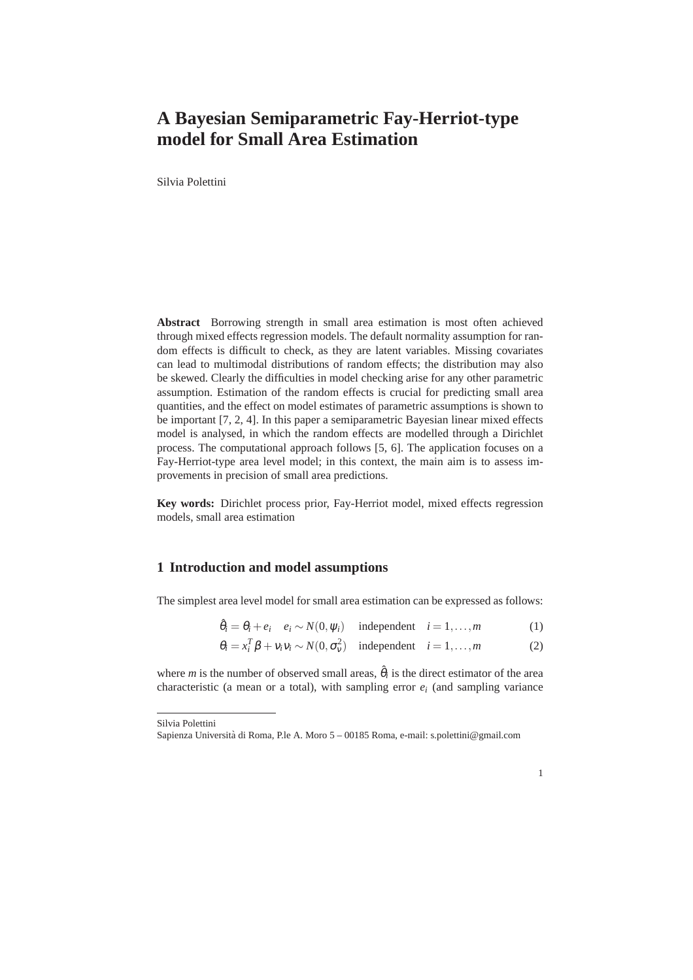## **A Bayesian Semiparametric Fay-Herriot-type model for Small Area Estimation**

Silvia Polettini

**Abstract** Borrowing strength in small area estimation is most often achieved through mixed effects regression models. The default normality assumption for random effects is difficult to check, as they are latent variables. Missing covariates can lead to multimodal distributions of random effects; the distribution may also be skewed. Clearly the difficulties in model checking arise for any other parametric assumption. Estimation of the random effects is crucial for predicting small area quantities, and the effect on model estimates of parametric assumptions is shown to be important [7, 2, 4]. In this paper a semiparametric Bayesian linear mixed effects model is analysed, in which the random effects are modelled through a Dirichlet process. The computational approach follows [5, 6]. The application focuses on a Fay-Herriot-type area level model; in this context, the main aim is to assess improvements in precision of small area predictions.

**Key words:** Dirichlet process prior, Fay-Herriot model, mixed effects regression models, small area estimation

## **1 Introduction and model assumptions**

The simplest area level model for small area estimation can be expressed as follows:

 $\hat{\theta}_i = \theta_i + e_i \quad e_i \sim N(0, \psi_i)$  independent  $i = 1, ..., m$  (1)

$$
\theta_i = x_i^T \beta + v_i v_i \sim N(0, \sigma_v^2) \quad \text{independent} \quad i = 1, \dots, m \tag{2}
$$

where *m* is the number of observed small areas,  $\hat{\theta}_i$  is the direct estimator of the area characteristic (a mean or a total), with sampling error  $e_i$  (and sampling variance

1

Silvia Polettini

Sapienza Università di Roma, P.le A. Moro 5 – 00185 Roma, e-mail: s.polettini@gmail.com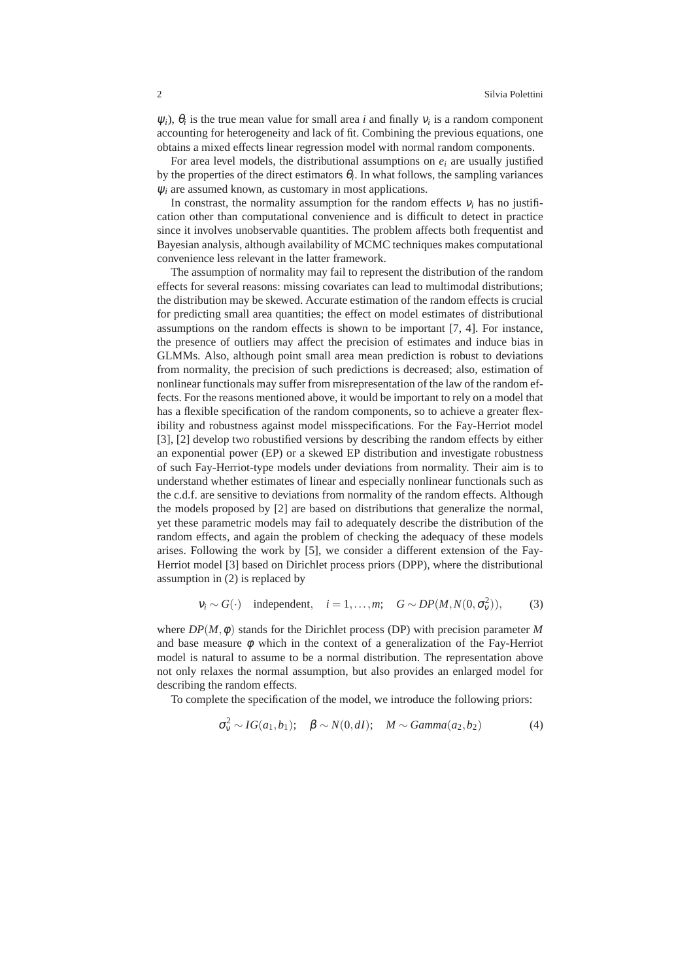$\psi_i$ ,  $\theta_i$  is the true mean value for small area *i* and finally  $v_i$  is a random component accounting for heterogeneity and lack of fit. Combining the previous equations, one obtains a mixed effects linear regression model with normal random components.

For area level models, the distributional assumptions on  $e_i$  are usually justified by the properties of the direct estimators  $\theta_i$ . In what follows, the sampling variances <sup>ψ</sup>*<sup>i</sup>* are assumed known, as customary in most applications.

In constrast, the normality assumption for the random effects  $v_i$  has no justification other than computational convenience and is difficult to detect in practice since it involves unobservable quantities. The problem affects both frequentist and Bayesian analysis, although availability of MCMC techniques makes computational convenience less relevant in the latter framework.

The assumption of normality may fail to represent the distribution of the random effects for several reasons: missing covariates can lead to multimodal distributions; the distribution may be skewed. Accurate estimation of the random effects is crucial for predicting small area quantities; the effect on model estimates of distributional assumptions on the random effects is shown to be important [7, 4]. For instance, the presence of outliers may affect the precision of estimates and induce bias in GLMMs. Also, although point small area mean prediction is robust to deviations from normality, the precision of such predictions is decreased; also, estimation of nonlinear functionals may suffer from misrepresentation of the law of the random effects. For the reasons mentioned above, it would be important to rely on a model that has a flexible specification of the random components, so to achieve a greater flexibility and robustness against model misspecifications. For the Fay-Herriot model [3], [2] develop two robustified versions by describing the random effects by either an exponential power (EP) or a skewed EP distribution and investigate robustness of such Fay-Herriot-type models under deviations from normality. Their aim is to understand whether estimates of linear and especially nonlinear functionals such as the c.d.f. are sensitive to deviations from normality of the random effects. Although the models proposed by [2] are based on distributions that generalize the normal, yet these parametric models may fail to adequately describe the distribution of the random effects, and again the problem of checking the adequacy of these models arises. Following the work by [5], we consider a different extension of the Fay-Herriot model [3] based on Dirichlet process priors (DPP), where the distributional assumption in (2) is replaced by

$$
v_i \sim G(\cdot)
$$
 independent,  $i = 1,...,m$ ;  $G \sim DP(M, N(0, \sigma_v^2))$ , (3)

where  $DP(M, \phi)$  stands for the Dirichlet process (DP) with precision parameter M and base measure  $\phi$  which in the context of a generalization of the Fay-Herriot model is natural to assume to be a normal distribution. The representation above not only relaxes the normal assumption, but also provides an enlarged model for describing the random effects.

To complete the specification of the model, we introduce the following priors:

$$
\sigma_{\rm v}^2 \sim IG(a_1, b_1); \quad \beta \sim N(0, dI); \quad M \sim Gamma(a_2, b_2) \tag{4}
$$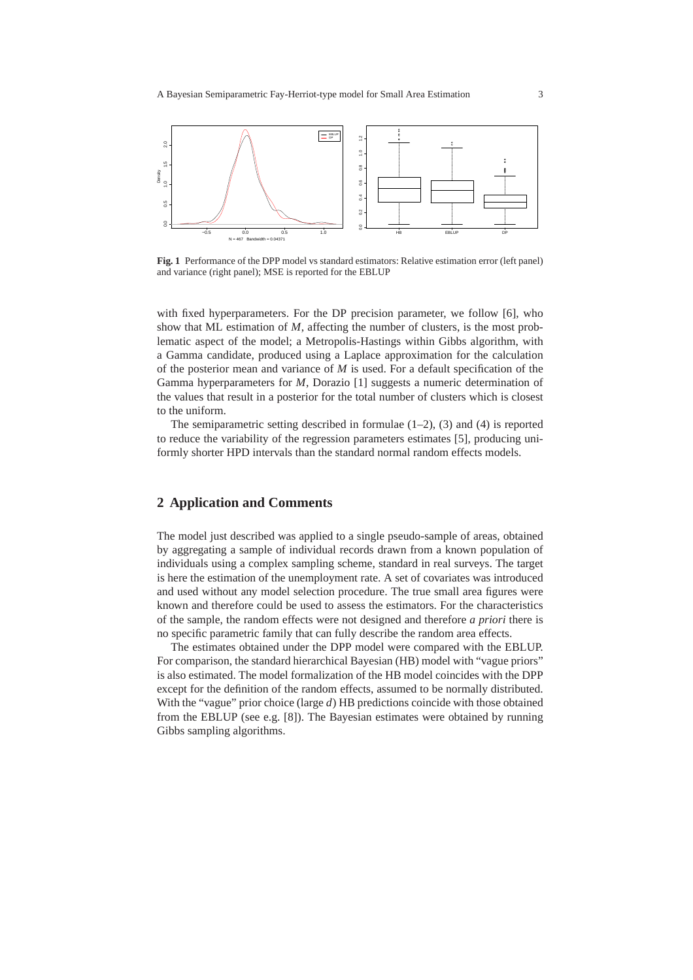

**Fig. 1** Performance of the DPP model vs standard estimators: Relative estimation error (left panel) and variance (right panel); MSE is reported for the EBLUP

with fixed hyperparameters. For the DP precision parameter, we follow [6], who show that ML estimation of *M*, affecting the number of clusters, is the most problematic aspect of the model; a Metropolis-Hastings within Gibbs algorithm, with a Gamma candidate, produced using a Laplace approximation for the calculation of the posterior mean and variance of *M* is used. For a default specification of the Gamma hyperparameters for *M*, Dorazio [1] suggests a numeric determination of the values that result in a posterior for the total number of clusters which is closest to the uniform.

The semiparametric setting described in formulae  $(1-2)$ ,  $(3)$  and  $(4)$  is reported to reduce the variability of the regression parameters estimates [5], producing uniformly shorter HPD intervals than the standard normal random effects models.

## **2 Application and Comments**

The model just described was applied to a single pseudo-sample of areas, obtained by aggregating a sample of individual records drawn from a known population of individuals using a complex sampling scheme, standard in real surveys. The target is here the estimation of the unemployment rate. A set of covariates was introduced and used without any model selection procedure. The true small area figures were known and therefore could be used to assess the estimators. For the characteristics of the sample, the random effects were not designed and therefore *a priori* there is no specific parametric family that can fully describe the random area effects.

The estimates obtained under the DPP model were compared with the EBLUP. For comparison, the standard hierarchical Bayesian (HB) model with "vague priors" is also estimated. The model formalization of the HB model coincides with the DPP except for the definition of the random effects, assumed to be normally distributed. With the "vague" prior choice (large *d*) HB predictions coincide with those obtained from the EBLUP (see e.g. [8]). The Bayesian estimates were obtained by running Gibbs sampling algorithms.